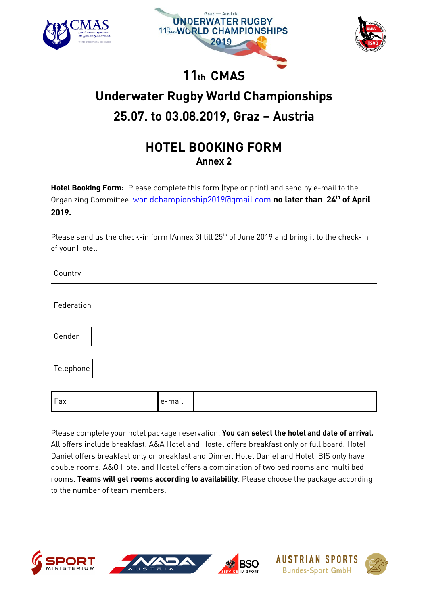





# 11th CMAS **Underwater Rugby World Championships**  $U$  Underwater  $U$ 25.07. to 03.08.2019, Graz – Austria

## **HOTEL BOOKING FORM** Annex 2

Hotel Booking Form: [Please complete this form \(type or print\) a](mailto:worldchampionship2019@gmail.com)nd send by e-mail to the organizing Committee <u>wortdchampionship2019@gmail.com</u> <mark>no later than 24" of April</mark><br>2010 2019.

Please send us the check-in form (Annex 3) till  $25<sup>th</sup>$  of June 2019 and bring it to the check-in of vour Hotel. of your Hotel.

| Country    |  |
|------------|--|
|            |  |
| Federation |  |
|            |  |
| Gender     |  |
|            |  |
| Telephone  |  |

|  | Fax |  | . .<br>e-mail |  |
|--|-----|--|---------------|--|
|--|-----|--|---------------|--|

Please complete your hotel package reservation. You can select the hotel and date of arrival.<br>All offers include breakfast. A&A Hotel and Hostel offers breakfast only or full board. Hotel Daniel offers breakfast only or breakfast and Dinner. Hotel Daniel and Hotel IBIS only have double rooms. A&O Hotel and Hostel offers a combination of two bed rooms and multi bed rooms. Teams will get rooms according to availability. Please choose the package according to the number of team members.







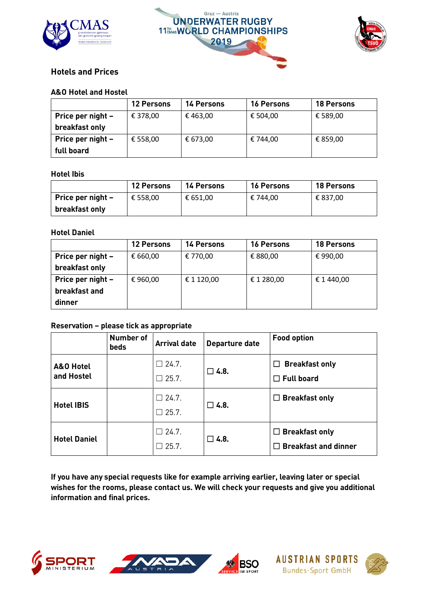





|                   | <b>12 Persons</b> | <b>14 Persons</b> | <b>16 Persons</b> | <b>18 Persons</b> |
|-------------------|-------------------|-------------------|-------------------|-------------------|
| Price per night - | € 378,00          | € 463,00          | € 504,00          | € 589,00          |
| breakfast only    |                   |                   |                   |                   |
| Price per night - | € 558,00          | € 673,00          | € 744,00          | € 859,00          |
| full board        |                   |                   |                   |                   |

### **Hotel Ibis**

|                   | <b>12 Persons</b> | <b>14 Persons</b> | <b>16 Persons</b> | <b>18 Persons</b> |
|-------------------|-------------------|-------------------|-------------------|-------------------|
| Price per night - | € 558.00          | € 651.00          | € 744,00          | € 837,00          |
| breakfast only    |                   |                   |                   |                   |

|                   | <b>12 Persons</b> | <b>14 Persons</b> | <b>16 Persons</b> | <b>18 Persons</b> |
|-------------------|-------------------|-------------------|-------------------|-------------------|
| Price per night - | € 660,00          | € 770,00          | € 880,00          | €990,00           |
| breakfast only    |                   |                   |                   |                   |
| Price per night - | €960,00           | € 1 120,00        | € 1 280,00        | € 1 440,00        |
| breakfast and     |                   |                   |                   |                   |
| dinner            |                   |                   |                   |                   |

### Reservation – please tick as appropriate

|                         | <b>Number of</b><br>beds | <b>Arrival date</b>             | Departure date | <b>Food option</b>                                   |
|-------------------------|--------------------------|---------------------------------|----------------|------------------------------------------------------|
| A&O Hotel<br>and Hostel |                          | $\Box$ 24.7.<br>$\Box$ 25.7.    | $\square$ 4.8. | $\Box$ Breakfast only<br>$\Box$ Full board           |
| <b>Hotel IBIS</b>       |                          | $\Box$ 24.7.<br>$\square$ 25.7. | $\Box$ 4.8.    | $\Box$ Breakfast only                                |
| <b>Hotel Daniel</b>     |                          | $\Box$ 24.7.<br>$\Box$ 25.7.    | $\Box$ 4.8.    | $\Box$ Breakfast only<br>$\Box$ Breakfast and dinner |

 $\frac{1}{2}$   $\frac{1}{2}$  and  $\frac{1}{2}$  requests and  $\frac{1}{2}$  requests like  $\frac{1}{2}$  and  $\frac{1}{2}$  requests and give you additivi wishes for the rooms, please contact us. We will check you requests and give you additional<br>information and final prices information and final prices.